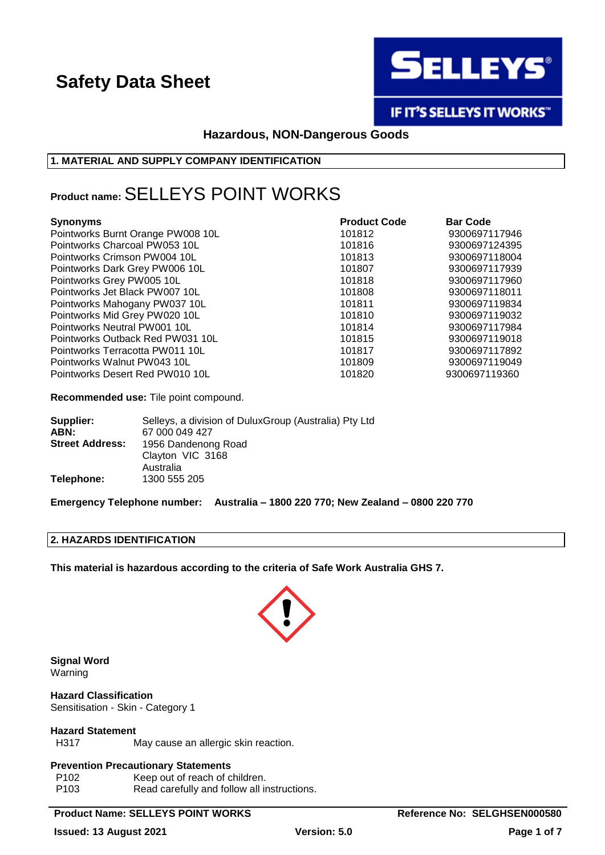

IF IT'S SELLEYS IT WORKS"

# **Hazardous, NON-Dangerous Goods**

### **1. MATERIAL AND SUPPLY COMPANY IDENTIFICATION**

# **Product name:**SELLEYS POINT WORKS

| <b>Synonyms</b>                   | <b>Product Code</b> | <b>Bar Code</b> |
|-----------------------------------|---------------------|-----------------|
| Pointworks Burnt Orange PW008 10L | 101812              | 9300697117946   |
| Pointworks Charcoal PW053 10L     | 101816              | 9300697124395   |
| Pointworks Crimson PW004 10L      | 101813              | 9300697118004   |
| Pointworks Dark Grey PW006 10L    | 101807              | 9300697117939   |
| Pointworks Grey PW005 10L         | 101818              | 9300697117960   |
| Pointworks Jet Black PW007 10L    | 101808              | 9300697118011   |
| Pointworks Mahogany PW037 10L     | 101811              | 9300697119834   |
| Pointworks Mid Grey PW020 10L     | 101810              | 9300697119032   |
| Pointworks Neutral PW001 10L      | 101814              | 9300697117984   |
| Pointworks Outback Red PW031 10L  | 101815              | 9300697119018   |
| Pointworks Terracotta PW011 10L   | 101817              | 9300697117892   |
| Pointworks Walnut PW043 10L       | 101809              | 9300697119049   |
| Pointworks Desert Red PW010 10L   | 101820              | 9300697119360   |

**Recommended use:** Tile point compound.

| Supplier:              | Selleys, a division of Dulux Group (Australia) Pty Ltd |
|------------------------|--------------------------------------------------------|
| ABN:                   | 67 000 049 427                                         |
| <b>Street Address:</b> | 1956 Dandenong Road                                    |
|                        | Clayton VIC 3168                                       |
|                        | Australia                                              |
| Telephone:             | 1300 555 205                                           |

**Emergency Telephone number: Australia – 1800 220 770; New Zealand – 0800 220 770**

## **2. HAZARDS IDENTIFICATION**

**This material is hazardous according to the criteria of Safe Work Australia GHS 7.**



**Signal Word** Warning

**Hazard Classification** Sensitisation - Skin - Category 1

### **Hazard Statement**

H317 May cause an allergic skin reaction.

### **Prevention Precautionary Statements**

| P102 | Keep out of reach of children.              |
|------|---------------------------------------------|
| P103 | Read carefully and follow all instructions. |

## **Product Name: SELLEYS POINT WORKS Reference No: SELGHSEN000580**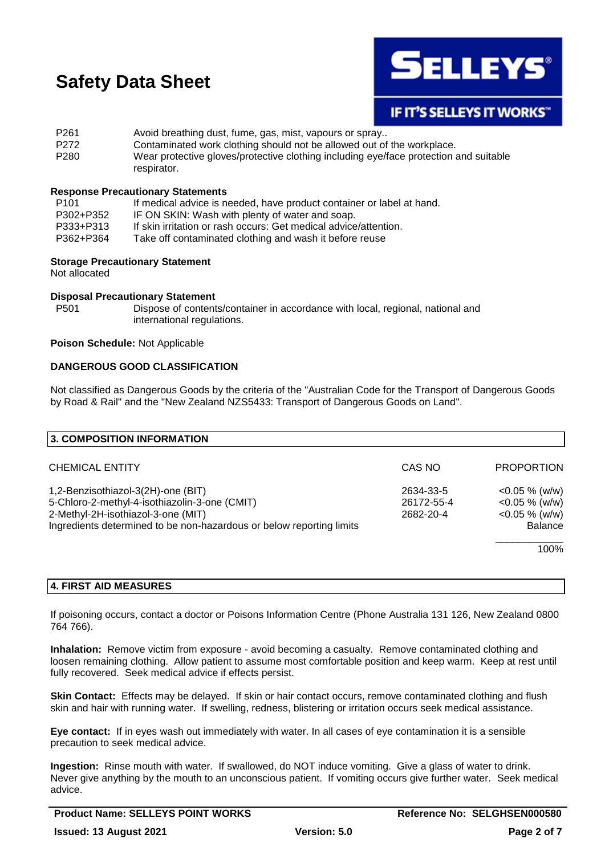

# **IF IT'S SELLEYS IT WORKS"**

P261 Avoid breathing dust, fume, gas, mist, vapours or spray.. P272 Contaminated work clothing should not be allowed out of the workplace. P280 Wear protective gloves/protective clothing including eye/face protection and suitable respirator.

### **Response Precautionary Statements**

| If medical advice is needed, have product container or label at hand. |
|-----------------------------------------------------------------------|
| IF ON SKIN: Wash with plenty of water and soap.                       |
| If skin irritation or rash occurs: Get medical advice/attention.      |
| Take off contaminated clothing and wash it before reuse               |
|                                                                       |

### **Storage Precautionary Statement**

Not allocated

### **Disposal Precautionary Statement**

P501 Dispose of contents/container in accordance with local, regional, national and international regulations.

### **Poison Schedule:** Not Applicable

### **DANGEROUS GOOD CLASSIFICATION**

Not classified as Dangerous Goods by the criteria of the "Australian Code for the Transport of Dangerous Goods by Road & Rail" and the "New Zealand NZS5433: Transport of Dangerous Goods on Land".

| <b>3. COMPOSITION INFORMATION</b>                                    |            |                   |
|----------------------------------------------------------------------|------------|-------------------|
|                                                                      |            |                   |
| <b>CHEMICAL ENTITY</b>                                               | CAS NO     | <b>PROPORTION</b> |
| 1,2-Benzisothiazol-3(2H)-one (BIT)                                   | 2634-33-5  | $<$ 0.05 % (w/w)  |
| 5-Chloro-2-methyl-4-isothiazolin-3-one (CMIT)                        | 26172-55-4 | $<$ 0.05 % (w/w)  |
| 2-Methyl-2H-isothiazol-3-one (MIT)                                   | 2682-20-4  | $<$ 0.05 % (w/w)  |
| Ingredients determined to be non-hazardous or below reporting limits |            | <b>Balance</b>    |
|                                                                      |            | 100%              |
|                                                                      |            |                   |

### **4. FIRST AID MEASURES**

If poisoning occurs, contact a doctor or Poisons Information Centre (Phone Australia 131 126, New Zealand 0800 764 766).

**Inhalation:** Remove victim from exposure - avoid becoming a casualty. Remove contaminated clothing and loosen remaining clothing. Allow patient to assume most comfortable position and keep warm. Keep at rest until fully recovered. Seek medical advice if effects persist.

**Skin Contact:** Effects may be delayed. If skin or hair contact occurs, remove contaminated clothing and flush skin and hair with running water. If swelling, redness, blistering or irritation occurs seek medical assistance.

**Eye contact:** If in eyes wash out immediately with water. In all cases of eye contamination it is a sensible precaution to seek medical advice.

**Ingestion:** Rinse mouth with water. If swallowed, do NOT induce vomiting. Give a glass of water to drink. Never give anything by the mouth to an unconscious patient. If vomiting occurs give further water. Seek medical advice.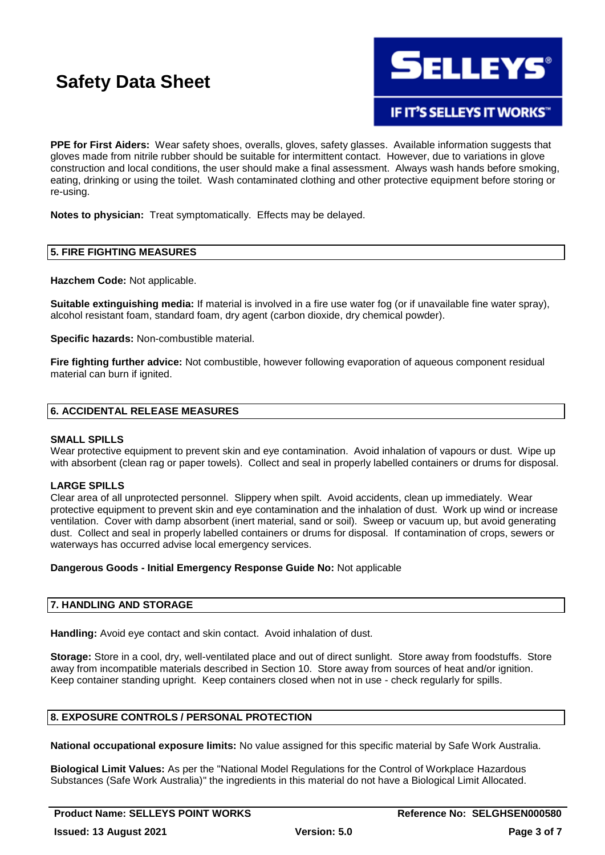

**IF IT'S SELLEYS IT WORKS"** 

**PPE for First Aiders:** Wear safety shoes, overalls, gloves, safety glasses. Available information suggests that gloves made from nitrile rubber should be suitable for intermittent contact. However, due to variations in glove construction and local conditions, the user should make a final assessment. Always wash hands before smoking, eating, drinking or using the toilet. Wash contaminated clothing and other protective equipment before storing or re-using.

**Notes to physician:** Treat symptomatically. Effects may be delayed.

### **5. FIRE FIGHTING MEASURES**

**Hazchem Code:** Not applicable.

**Suitable extinguishing media:** If material is involved in a fire use water fog (or if unavailable fine water spray), alcohol resistant foam, standard foam, dry agent (carbon dioxide, dry chemical powder).

**Specific hazards:** Non-combustible material.

**Fire fighting further advice:** Not combustible, however following evaporation of aqueous component residual material can burn if ignited.

### **6. ACCIDENTAL RELEASE MEASURES**

### **SMALL SPILLS**

Wear protective equipment to prevent skin and eve contamination. Avoid inhalation of vapours or dust. Wipe up with absorbent (clean rag or paper towels). Collect and seal in properly labelled containers or drums for disposal.

### **LARGE SPILLS**

Clear area of all unprotected personnel. Slippery when spilt. Avoid accidents, clean up immediately. Wear protective equipment to prevent skin and eye contamination and the inhalation of dust. Work up wind or increase ventilation. Cover with damp absorbent (inert material, sand or soil). Sweep or vacuum up, but avoid generating dust. Collect and seal in properly labelled containers or drums for disposal. If contamination of crops, sewers or waterways has occurred advise local emergency services.

### **Dangerous Goods - Initial Emergency Response Guide No:** Not applicable

### **7. HANDLING AND STORAGE**

**Handling:** Avoid eye contact and skin contact. Avoid inhalation of dust.

**Storage:** Store in a cool, dry, well-ventilated place and out of direct sunlight. Store away from foodstuffs. Store away from incompatible materials described in Section 10. Store away from sources of heat and/or ignition. Keep container standing upright. Keep containers closed when not in use - check regularly for spills.

### **8. EXPOSURE CONTROLS / PERSONAL PROTECTION**

**National occupational exposure limits:** No value assigned for this specific material by Safe Work Australia.

**Biological Limit Values:** As per the "National Model Regulations for the Control of Workplace Hazardous Substances (Safe Work Australia)" the ingredients in this material do not have a Biological Limit Allocated.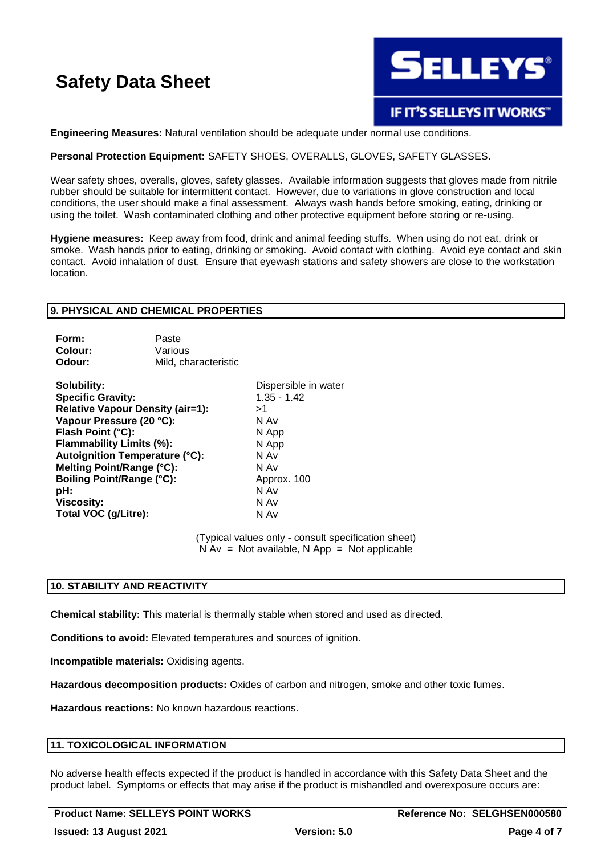

**Engineering Measures:** Natural ventilation should be adequate under normal use conditions.

### **Personal Protection Equipment:** SAFETY SHOES, OVERALLS, GLOVES, SAFETY GLASSES.

Wear safety shoes, overalls, gloves, safety glasses. Available information suggests that gloves made from nitrile rubber should be suitable for intermittent contact. However, due to variations in glove construction and local conditions, the user should make a final assessment. Always wash hands before smoking, eating, drinking or using the toilet. Wash contaminated clothing and other protective equipment before storing or re-using.

**Hygiene measures:** Keep away from food, drink and animal feeding stuffs. When using do not eat, drink or smoke. Wash hands prior to eating, drinking or smoking. Avoid contact with clothing. Avoid eye contact and skin contact. Avoid inhalation of dust. Ensure that eyewash stations and safety showers are close to the workstation location.

### **9. PHYSICAL AND CHEMICAL PROPERTIES**

| Form:   | Paste                |
|---------|----------------------|
| Colour: | Various              |
| Odour:  | Mild, characteristic |

**Solubility:** Dispersible in water **Specific Gravity:** 1.35 - 1.42 **Relative Vapour Density (air=1):** >1 **Vapour Pressure (20 °C):** N Av **Flash Point (°C):** N App **Flammability Limits (%):** N App **Autoignition Temperature (°C):** N Av **Melting Point/Range (°C):** N Av **Boiling Point/Range (°C):** Approx. 100 **pH:** N Av **Viscosity:** N Av **Total VOC (g/Litre):** N Av

(Typical values only - consult specification sheet)  $N Av = Not available, N App = Not applicable$ 

### **10. STABILITY AND REACTIVITY**

**Chemical stability:** This material is thermally stable when stored and used as directed.

**Conditions to avoid:** Elevated temperatures and sources of ignition.

**Incompatible materials:** Oxidising agents.

**Hazardous decomposition products:** Oxides of carbon and nitrogen, smoke and other toxic fumes.

**Hazardous reactions:** No known hazardous reactions.

### **11. TOXICOLOGICAL INFORMATION**

No adverse health effects expected if the product is handled in accordance with this Safety Data Sheet and the product label. Symptoms or effects that may arise if the product is mishandled and overexposure occurs are: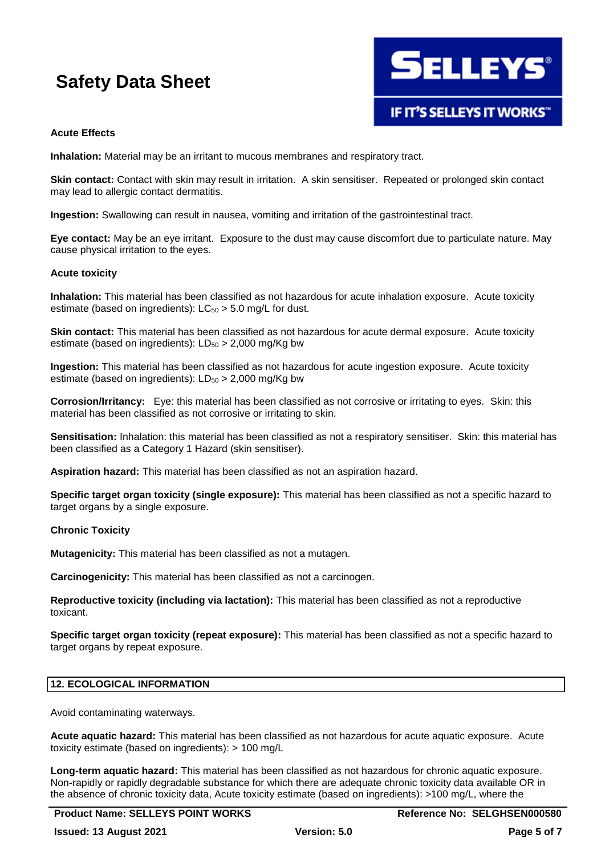

### **Acute Effects**

**Inhalation:** Material may be an irritant to mucous membranes and respiratory tract.

**Skin contact:** Contact with skin may result in irritation. A skin sensitiser. Repeated or prolonged skin contact may lead to allergic contact dermatitis.

**Ingestion:** Swallowing can result in nausea, vomiting and irritation of the gastrointestinal tract.

**Eye contact:** May be an eye irritant. Exposure to the dust may cause discomfort due to particulate nature. May cause physical irritation to the eyes.

### **Acute toxicity**

**Inhalation:** This material has been classified as not hazardous for acute inhalation exposure. Acute toxicity estimate (based on ingredients):  $LC_{50} > 5.0$  mg/L for dust.

**Skin contact:** This material has been classified as not hazardous for acute dermal exposure. Acute toxicity estimate (based on ingredients):  $LD_{50} > 2,000$  mg/Kg bw

**Ingestion:** This material has been classified as not hazardous for acute ingestion exposure. Acute toxicity estimate (based on ingredients):  $LD_{50} > 2,000$  mg/Kg bw

**Corrosion/Irritancy:** Eye: this material has been classified as not corrosive or irritating to eyes. Skin: this material has been classified as not corrosive or irritating to skin.

**Sensitisation:** Inhalation: this material has been classified as not a respiratory sensitiser. Skin: this material has been classified as a Category 1 Hazard (skin sensitiser).

**Aspiration hazard:** This material has been classified as not an aspiration hazard.

**Specific target organ toxicity (single exposure):** This material has been classified as not a specific hazard to target organs by a single exposure.

### **Chronic Toxicity**

**Mutagenicity:** This material has been classified as not a mutagen.

**Carcinogenicity:** This material has been classified as not a carcinogen.

**Reproductive toxicity (including via lactation):** This material has been classified as not a reproductive toxicant.

**Specific target organ toxicity (repeat exposure):** This material has been classified as not a specific hazard to target organs by repeat exposure.

### **12. ECOLOGICAL INFORMATION**

Avoid contaminating waterways.

**Acute aquatic hazard:** This material has been classified as not hazardous for acute aquatic exposure. Acute toxicity estimate (based on ingredients): > 100 mg/L

**Long-term aquatic hazard:** This material has been classified as not hazardous for chronic aquatic exposure. Non-rapidly or rapidly degradable substance for which there are adequate chronic toxicity data available OR in the absence of chronic toxicity data, Acute toxicity estimate (based on ingredients): >100 mg/L, where the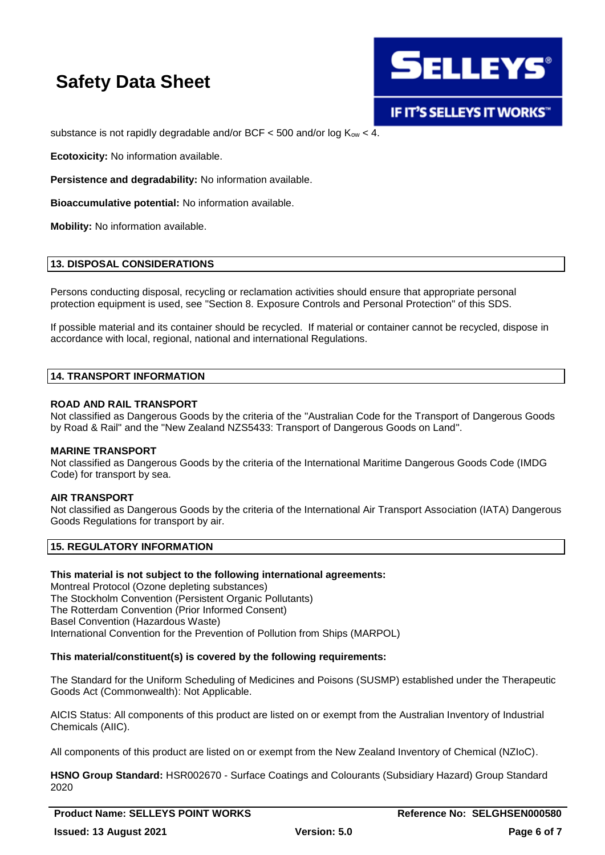

substance is not rapidly degradable and/or BCF  $<$  500 and/or log  $K_{ow}$   $<$  4.

**Ecotoxicity:** No information available.

**Persistence and degradability:** No information available.

**Bioaccumulative potential:** No information available.

**Mobility:** No information available.

### **13. DISPOSAL CONSIDERATIONS**

Persons conducting disposal, recycling or reclamation activities should ensure that appropriate personal protection equipment is used, see "Section 8. Exposure Controls and Personal Protection" of this SDS.

If possible material and its container should be recycled. If material or container cannot be recycled, dispose in accordance with local, regional, national and international Regulations.

### **14. TRANSPORT INFORMATION**

### **ROAD AND RAIL TRANSPORT**

Not classified as Dangerous Goods by the criteria of the "Australian Code for the Transport of Dangerous Goods by Road & Rail" and the "New Zealand NZS5433: Transport of Dangerous Goods on Land".

### **MARINE TRANSPORT**

Not classified as Dangerous Goods by the criteria of the International Maritime Dangerous Goods Code (IMDG Code) for transport by sea.

### **AIR TRANSPORT**

Not classified as Dangerous Goods by the criteria of the International Air Transport Association (IATA) Dangerous Goods Regulations for transport by air.

### **15. REGULATORY INFORMATION**

### **This material is not subject to the following international agreements:**

Montreal Protocol (Ozone depleting substances) The Stockholm Convention (Persistent Organic Pollutants) The Rotterdam Convention (Prior Informed Consent) Basel Convention (Hazardous Waste) International Convention for the Prevention of Pollution from Ships (MARPOL)

### **This material/constituent(s) is covered by the following requirements:**

The Standard for the Uniform Scheduling of Medicines and Poisons (SUSMP) established under the Therapeutic Goods Act (Commonwealth): Not Applicable.

AICIS Status: All components of this product are listed on or exempt from the Australian Inventory of Industrial Chemicals (AIIC).

All components of this product are listed on or exempt from the New Zealand Inventory of Chemical (NZIoC).

**HSNO Group Standard:** HSR002670 - Surface Coatings and Colourants (Subsidiary Hazard) Group Standard 2020